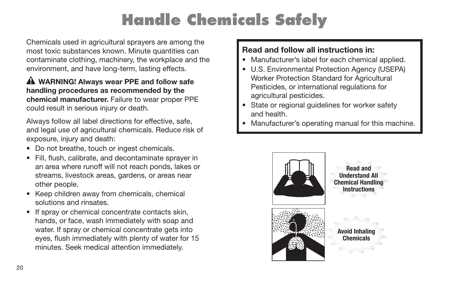# **Handle Chemicals Safely**

Chemicals used in agricultural sprayers are among the most toxic substances known. Minute quantities can contaminate clothing, machinery, the workplace and the environment, and have long-term, lasting effects.

#### **WARNING! Always wear PPE and follow safe handling procedures as recommended by the chemical manufacturer.** Failure to wear proper PPE could result in serious injury or death.

Always follow all label directions for effective, safe, and legal use of agricultural chemicals. Reduce risk of exposure, injury and death:

- Do not breathe, touch or ingest chemicals.
- Fill, flush, calibrate, and decontaminate spraver in an area where runoff will not reach ponds, lakes or streams, livestock areas, gardens, or areas near other people.
- Keep children away from chemicals, chemical solutions and rinsates.
- If spray or chemical concentrate contacts skin, hands, or face, wash immediately with soap and water. If spray or chemical concentrate gets into eyes, flush immediately with plenty of water for 15 minutes. Seek medical attention immediately.

### **Read and follow all instructions in:**

- Manufacturer's label for each chemical applied.
- U.S. Environmental Protection Agency (USEPA) Worker Protection Standard for Agricultural Pesticides, or international regulations for agricultural pesticides.
- State or regional guidelines for worker safety and health.
- Manufacturer's operating manual for this machine.

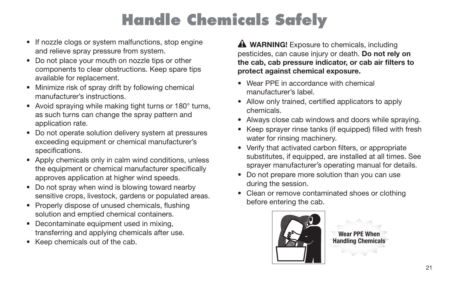# **Handle Chemicals Safely**

- If nozzle clogs or system malfunctions, stop engine and relieve spray pressure from system.
- Do not place your mouth on nozzle tips or other components to clear obstructions. Keep spare tips available for replacement.
- Minimize risk of spray drift by following chemical manufacturer's instructions.
- Avoid spraying while making tight turns or 180° turns, as such turns can change the spray pattern and application rate.
- Do not operate solution delivery system at pressures exceeding equipment or chemical manufacturer's specifications.
- Apply chemicals only in calm wind conditions, unless the equipment or chemical manufacturer specifically approves application at higher wind speeds.
- Do not spray when wind is blowing toward nearby sensitive crops, livestock, gardens or populated areas.
- Properly dispose of unused chemicals, flushing solution and emptied chemical containers.
- Decontaminate equipment used in mixing, transferring and applying chemicals after use.
- Keep chemicals out of the cab.

**A WARNING!** Exposure to chemicals, including pesticides, can cause injury or death. **Do not rely on**  the cab, cab pressure indicator, or cab air filters to **protect against chemical exposure.**

- Wear PPE in accordance with chemical manufacturer's label.
- Allow only trained, certified applicators to apply chemicals.
- Always close cab windows and doors while spraying.
- Keep sprayer rinse tanks (if equipped) filled with fresh water for rinsing machinery.
- Verify that activated carbon filters, or appropriate substitutes, if equipped, are installed at all times. See sprayer manufacturer's operating manual for details.
- Do not prepare more solution than you can use during the session.
- Clean or remove contaminated shoes or clothing before entering the cab.



**Wear PPE When Handling Chemicals**